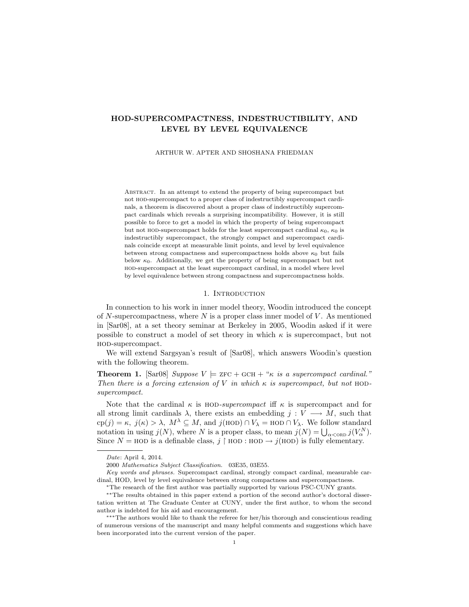# HOD-SUPERCOMPACTNESS, INDESTRUCTIBILITY, AND LEVEL BY LEVEL EQUIVALENCE

ARTHUR W. APTER AND SHOSHANA FRIEDMAN

Abstract. In an attempt to extend the property of being supercompact but not hod-supercompact to a proper class of indestructibly supercompact cardinals, a theorem is discovered about a proper class of indestructibly supercompact cardinals which reveals a surprising incompatibility. However, it is still possible to force to get a model in which the property of being supercompact but not HOD-supercompact holds for the least supercompact cardinal  $\kappa_0$ ,  $\kappa_0$  is indestructibly supercompact, the strongly compact and supercompact cardinals coincide except at measurable limit points, and level by level equivalence between strong compactness and supercompactness holds above  $\kappa_0$  but fails below  $\kappa_0$ . Additionally, we get the property of being supercompact but not hod-supercompact at the least supercompact cardinal, in a model where level by level equivalence between strong compactness and supercompactness holds.

### 1. INTRODUCTION

In connection to his work in inner model theory, Woodin introduced the concept of  $N$ -supercompactness, where  $N$  is a proper class inner model of  $V$ . As mentioned in [Sar08], at a set theory seminar at Berkeley in 2005, Woodin asked if it were possible to construct a model of set theory in which  $\kappa$  is supercompact, but not hod-supercompact.

We will extend Sargsyan's result of [Sar08], which answers Woodin's question with the following theorem.

**Theorem 1.** [Sar08] Suppose  $V \models$  ZFC + GCH + " $\kappa$  is a supercompact cardinal." Then there is a forcing extension of V in which  $\kappa$  is supercompact, but not HODsupercompact.

Note that the cardinal  $\kappa$  is HOD-supercompact iff  $\kappa$  is supercompact and for all strong limit cardinals  $\lambda$ , there exists an embedding  $j: V \longrightarrow M$ , such that  $\text{cp}(j) = \kappa, j(\kappa) > \lambda, M^{\lambda} \subseteq M$ , and  $j(\text{HOD}) \cap V_{\lambda} = \text{HOD} \cap V_{\lambda}$ . We follow standard  $c_{P}(j) = \kappa$ ,  $j(\kappa) > \lambda$ ,  $M' \subseteq M$ , and  $j(H \cup D) \cap V_{\lambda} = H \cup D \cap V_{\lambda}$ . We follow standard notation in using  $j(N)$ , where N is a proper class, to mean  $j(N) = \bigcup_{\alpha < \text{ORD}} j(V_{\alpha}^{N})$ . Since  $N = \text{HOD}$  is a definable class, j |  $\text{HOD}$  :  $\text{HOD} \rightarrow j(\text{HOD})$  is fully elementary.

Key words and phrases. Supercompact cardinal, strongly compact cardinal, measurable cardinal, HOD, level by level equivalence between strong compactness and supercompactness.

Date: April 4, 2014.

<sup>2000</sup> Mathematics Subject Classification. 03E35, 03E55.

<sup>∗</sup>The research of the first author was partially supported by various PSC-CUNY grants.

<sup>∗∗</sup>The results obtained in this paper extend a portion of the second author's doctoral dissertation written at The Graduate Center at CUNY, under the first author, to whom the second author is indebted for his aid and encouragement.

<sup>∗∗∗</sup>The authors would like to thank the referee for her/his thorough and conscientious reading of numerous versions of the manuscript and many helpful comments and suggestions which have been incorporated into the current version of the paper.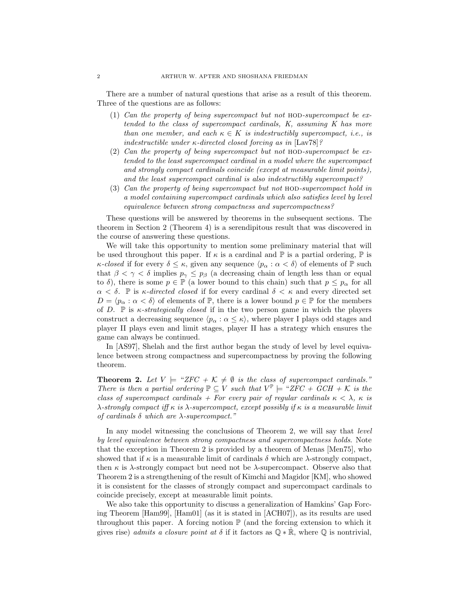There are a number of natural questions that arise as a result of this theorem. Three of the questions are as follows:

- (1) Can the property of being supercompact but not  $HOD-supercompact$  be extended to the class of supercompact cardinals, K, assuming K has more than one member, and each  $\kappa \in K$  is indestructibly supercompact, i.e., is indestructible under  $\kappa$ -directed closed forcing as in [Lav78]?
- (2) Can the property of being supercompact but not hod-supercompact be extended to the least supercompact cardinal in a model where the supercompact and strongly compact cardinals coincide (except at measurable limit points), and the least supercompact cardinal is also indestructibly supercompact?
- (3) Can the property of being supercompact but not hod-supercompact hold in a model containing supercompact cardinals which also satisfies level by level equivalence between strong compactness and supercompactness?

These questions will be answered by theorems in the subsequent sections. The theorem in Section 2 (Theorem 4) is a serendipitous result that was discovered in the course of answering these questions.

We will take this opportunity to mention some preliminary material that will be used throughout this paper. If  $\kappa$  is a cardinal and  $\mathbb P$  is a partial ordering,  $\mathbb P$  is κ-closed if for every  $\delta \leq \kappa$ , given any sequence  $\langle p_\alpha : \alpha < \delta \rangle$  of elements of  $\mathbb P$  such that  $\beta < \gamma < \delta$  implies  $p_{\gamma} \leq p_{\beta}$  (a decreasing chain of length less than or equal to  $\delta$ ), there is some  $p \in \mathbb{P}$  (a lower bound to this chain) such that  $p \leq p_{\alpha}$  for all  $\alpha < \delta$ . P is  $\kappa$ -directed closed if for every cardinal  $\delta < \kappa$  and every directed set  $D = \langle p_{\alpha} : \alpha < \delta \rangle$  of elements of P, there is a lower bound  $p \in \mathbb{P}$  for the members of D.  $\mathbb P$  is  $\kappa$ -strategically closed if in the two person game in which the players construct a decreasing sequence  $\langle p_{\alpha} : \alpha \leq \kappa \rangle$ , where player I plays odd stages and player II plays even and limit stages, player II has a strategy which ensures the game can always be continued.

In [AS97], Shelah and the first author began the study of level by level equivalence between strong compactness and supercompactness by proving the following theorem.

**Theorem 2.** Let  $V \models "ZFC + K \neq \emptyset$  is the class of supercompact cardinals." There is then a partial ordering  $\mathbb{P} \subseteq V$  such that  $V^{\mathbb{P}} \models \text{``ZFC + GCH + K$ is the}$ class of supercompact cardinals + For every pair of regular cardinals  $\kappa < \lambda$ ,  $\kappa$  is λ-strongly compact iff κ is λ-supercompact, except possibly if κ is a measurable limit of cardinals  $\delta$  which are  $\lambda$ -supercompact."

In any model witnessing the conclusions of Theorem 2, we will say that *level* by level equivalence between strong compactness and supercompactness holds. Note that the exception in Theorem 2 is provided by a theorem of Menas [Men75], who showed that if  $\kappa$  is a measurable limit of cardinals  $\delta$  which are  $\lambda$ -strongly compact, then  $\kappa$  is  $\lambda$ -strongly compact but need not be  $\lambda$ -supercompact. Observe also that Theorem 2 is a strengthening of the result of Kimchi and Magidor [KM], who showed it is consistent for the classes of strongly compact and supercompact cardinals to coincide precisely, except at measurable limit points.

We also take this opportunity to discuss a generalization of Hamkins' Gap Forcing Theorem [Ham99], [Ham01] (as it is stated in [ACH07]), as its results are used throughout this paper. A forcing notion  $\mathbb{P}$  (and the forcing extension to which it gives rise) admits a closure point at  $\delta$  if it factors as  $\mathbb{Q} * \dot{\mathbb{R}}$ , where  $\mathbb{Q}$  is nontrivial,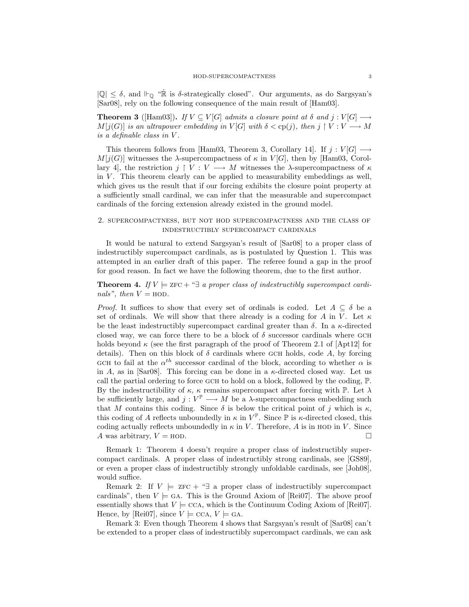$|\mathbb{Q}| \leq \delta$ , and  $\vdash_{\mathbb{Q}}$  " $\dot{\mathbb{R}}$  is  $\delta$ -strategically closed". Our arguments, as do Sargsyan's [Sar08], rely on the following consequence of the main result of [Ham03].

**Theorem 3** ([Ham03]). If  $V \subseteq V[G]$  admits a closure point at  $\delta$  and  $j : V[G] \longrightarrow$  $M[j(G)]$  is an ultrapower embedding in  $V[G]$  with  $\delta <$  cp(j), then j  $\restriction V : V \longrightarrow M$ is a definable class in V .

This theorem follows from [Ham03, Theorem 3, Corollary 14]. If  $j: V[G] \longrightarrow$  $M[j(G)]$  witnesses the  $\lambda$ -supercompactness of  $\kappa$  in  $V[G]$ , then by [Ham03, Corollary 4, the restriction  $j \restriction V : V \longrightarrow M$  witnesses the  $\lambda$ -supercompactness of  $\kappa$ in  $V$ . This theorem clearly can be applied to measurability embeddings as well, which gives us the result that if our forcing exhibits the closure point property at a sufficiently small cardinal, we can infer that the measurable and supercompact cardinals of the forcing extension already existed in the ground model.

### 2. supercompactness, but not hod supercompactness and the class of indestructibly supercompact cardinals

It would be natural to extend Sargsyan's result of [Sar08] to a proper class of indestructibly supercompact cardinals, as is postulated by Question 1. This was attempted in an earlier draft of this paper. The referee found a gap in the proof for good reason. In fact we have the following theorem, due to the first author.

**Theorem 4.** If  $V \models$  zFC + " $\exists$  a proper class of indestructibly supercompact cardinals", then  $V = \text{HOD}$ .

*Proof.* It suffices to show that every set of ordinals is coded. Let  $A \subseteq \delta$  be a set of ordinals. We will show that there already is a coding for A in V. Let  $\kappa$ be the least indestructibly supercompact cardinal greater than  $\delta$ . In a  $\kappa$ -directed closed way, we can force there to be a block of  $\delta$  successor cardinals where GCH holds beyond  $\kappa$  (see the first paragraph of the proof of Theorem 2.1 of [Apt12] for details). Then on this block of  $\delta$  cardinals where GCH holds, code A, by forcing GCH to fail at the  $\alpha^{th}$  successor cardinal of the block, according to whether  $\alpha$  is in A, as in [Sar08]. This forcing can be done in a  $\kappa$ -directed closed way. Let us call the partial ordering to force GCH to hold on a block, followed by the coding,  $\mathbb{P}$ . By the indestructibility of  $\kappa$ ,  $\kappa$  remains supercompact after forcing with  $\mathbb{P}$ . Let  $\lambda$ be sufficiently large, and  $j: V^{\mathbb{P}} \longrightarrow M$  be a  $\lambda$ -supercompactness embedding such that M contains this coding. Since  $\delta$  is below the critical point of j which is  $\kappa$ , this coding of A reflects unboundedly in  $\kappa$  in  $V^{\mathbb{P}}$ . Since  $\mathbb{P}$  is  $\kappa$ -directed closed, this coding actually reflects unboundedly in  $\kappa$  in V. Therefore, A is in HOD in V. Since A was arbitrary,  $V = \text{HOD}$ .

Remark 1: Theorem 4 doesn't require a proper class of indestructibly supercompact cardinals. A proper class of indestructibly strong cardinals, see [GS89], or even a proper class of indestructibly strongly unfoldable cardinals, see [Joh08], would suffice.

Remark 2: If  $V \models$  zFC + " $\exists$  a proper class of indestructibly supercompact cardinals", then  $V \models$  GA. This is the Ground Axiom of [Rei07]. The above proof essentially shows that  $V \models \text{CCA},$  which is the Continuum Coding Axiom of [Rei07]. Hence, by [Rei07], since  $V \models$  CCA,  $V \models$  GA.

Remark 3: Even though Theorem 4 shows that Sargsyan's result of [Sar08] can't be extended to a proper class of indestructibly supercompact cardinals, we can ask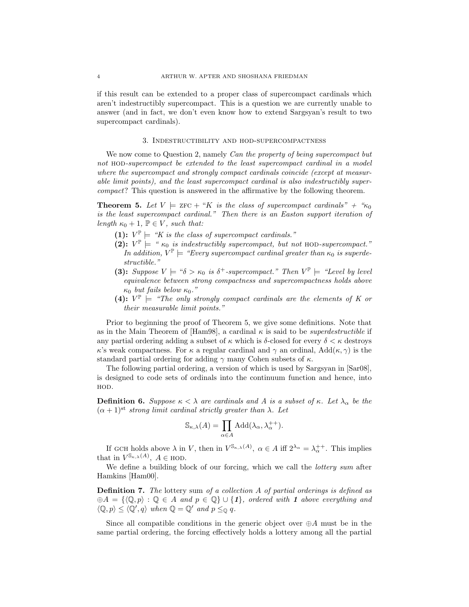if this result can be extended to a proper class of supercompact cardinals which aren't indestructibly supercompact. This is a question we are currently unable to answer (and in fact, we don't even know how to extend Sargsyan's result to two supercompact cardinals).

## 3. Indestructibility and hod-supercompactness

We now come to Question 2, namely Can the property of being supercompact but not HOD-supercompact be extended to the least supercompact cardinal in a model where the supercompact and strongly compact cardinals coincide (except at measurable limit points), and the least supercompact cardinal is also indestructibly supercompact? This question is answered in the affirmative by the following theorem.

**Theorem 5.** Let  $V = \text{ZFC} + "K$  is the class of supercompact cardinals" + " $\kappa_0$ " is the least supercompact cardinal." Then there is an Easton support iteration of length  $\kappa_0 + 1$ ,  $\mathbb{P} \in V$ , such that:

- (1):  $V^{\mathbb{P}} \models$  "K is the class of supercompact cardinals."
- (2):  $V^{\mathbb{P}}$  = " $\kappa_0$  is indestructibly supercompact, but not HOD-supercompact." In addition,  $V^{\mathbb{P}} \models$  "Every supercompact cardinal greater than  $\kappa_0$  is superdestructible."
- (3): Suppose  $V \models " \delta > \kappa_0$  is  $\delta^+$ -supercompact." Then  $V^{\mathbb{P}} \models "Level by level$ equivalence between strong compactness and supercompactness holds above κ<sub>0</sub> but fails below  $κ_0$ ."
- (4):  $V^{\mathbb{P}}$  = "The only strongly compact cardinals are the elements of K or their measurable limit points."

Prior to beginning the proof of Theorem 5, we give some definitions. Note that as in the Main Theorem of [Ham98], a cardinal  $\kappa$  is said to be *superdestructible* if any partial ordering adding a subset of  $\kappa$  which is  $\delta$ -closed for every  $\delta < \kappa$  destroys κ's weak compactness. For κ a regular cardinal and  $\gamma$  an ordinal, Add( $\kappa$ ,  $\gamma$ ) is the standard partial ordering for adding  $\gamma$  many Cohen subsets of  $\kappa$ .

The following partial ordering, a version of which is used by Sargsyan in [Sar08], is designed to code sets of ordinals into the continuum function and hence, into HOD.

**Definition 6.** Suppose  $\kappa < \lambda$  are cardinals and A is a subset of  $\kappa$ . Let  $\lambda_{\alpha}$  be the  $(\alpha + 1)^{st}$  strong limit cardinal strictly greater than  $\lambda$ . Let

$$
\mathbb{S}_{\kappa,\lambda}(A) = \prod_{\alpha \in A} \text{Add}(\lambda_{\alpha}, \lambda_{\alpha}^{++}).
$$

If GCH holds above  $\lambda$  in V, then in  $V^{\mathbb{S}_{\kappa,\lambda}(A)}$ ,  $\alpha \in A$  iff  $2^{\lambda_{\alpha}} = \lambda_{\alpha}^{++}$ . This implies that in  $V^{\mathbb{S}_{\kappa,\lambda}(A)}, A \in \text{HOD}.$ 

We define a building block of our forcing, which we call the *lottery sum* after Hamkins [Ham00].

**Definition 7.** The lottery sum of a collection A of partial orderings is defined as  $\oplus A = \{ \langle \mathbb{Q}, p \rangle : \mathbb{Q} \in A \text{ and } p \in \mathbb{Q} \} \cup \{1\}, \text{ ordered with } 1 \text{ above everything and}$  $\langle \mathbb{Q}, p \rangle \leq \langle \mathbb{Q}', q \rangle$  when  $\mathbb{Q} = \mathbb{Q}'$  and  $p \leq_{\mathbb{Q}} q$ .

Since all compatible conditions in the generic object over  $\oplus A$  must be in the same partial ordering, the forcing effectively holds a lottery among all the partial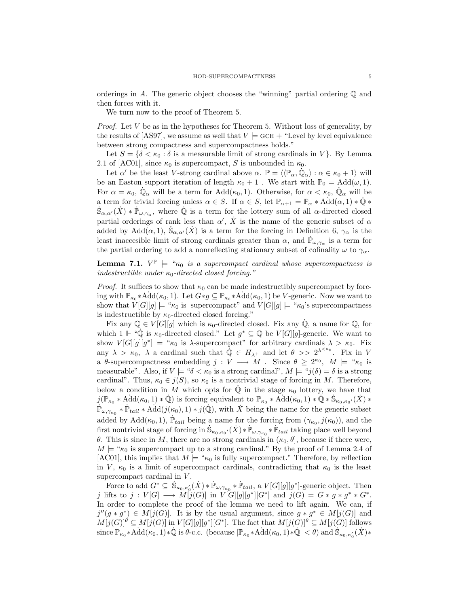orderings in A. The generic object chooses the "winning" partial ordering  $\mathbb Q$  and then forces with it.

We turn now to the proof of Theorem 5.

*Proof.* Let  $V$  be as in the hypotheses for Theorem 5. Without loss of generality, by the results of [AS97], we assume as well that  $V \models GCH + "Level by level equivalence$ between strong compactness and supercompactness holds."

Let  $S = \{ \delta < \kappa_0 : \delta \text{ is a measurable limit of strong cardinals in } V \}.$  By Lemma 2.1 of [AC01], since  $\kappa_0$  is supercompact, S is unbounded in  $\kappa_0$ .

Let  $\alpha'$  be the least V-strong cardinal above  $\alpha$ .  $\mathbb{P} = \langle \langle \mathbb{P}_{\alpha}, \dot{\mathbb{Q}}_{\alpha} \rangle : \alpha \in \kappa_0 + 1 \rangle$  will be an Easton support iteration of length  $\kappa_0 + 1$ . We start with  $\mathbb{P}_0 = \text{Add}(\omega, 1)$ . For  $\alpha = \kappa_0$ ,  $\dot{\mathbb{Q}}_{\alpha}$  will be a term for  $Add(\kappa_0, 1)$ . Otherwise, for  $\alpha < \kappa_0$ ,  $\dot{\mathbb{Q}}_{\alpha}$  will be a term for trivial forcing unless  $\alpha \in S$ . If  $\alpha \in S$ , let  $\mathbb{P}_{\alpha+1} = \mathbb{P}_{\alpha} * \text{Add}(\alpha, 1) * \mathbb{Q} *$  $\dot{S}_{\alpha,\alpha'}(\dot{X}) * \dot{P}_{\omega,\gamma_\alpha}$ , where  $\dot{Q}$  is a term for the lottery sum of all  $\alpha$ -directed closed partial orderings of rank less than  $\alpha'$ ,  $\dot{X}$  is the name of the generic subset of  $\alpha$ added by Add $(\alpha, 1)$ ,  $\dot{S}_{\alpha,\alpha'}(\dot{X})$  is a term for the forcing in Definition 6,  $\gamma_{\alpha}$  is the least inaccesible limit of strong cardinals greater than  $\alpha$ , and  $\dot{P}_{\omega,\gamma_{\alpha}}$  is a term for the partial ordering to add a nonreflecting stationary subset of cofinality  $\omega$  to  $\gamma_{\alpha}$ .

**Lemma 7.1.**  $V^{\mathbb{P}} \models " \kappa_0$  is a supercompact cardinal whose supercompactness is indestructible under  $\kappa_0$ -directed closed forcing."

*Proof.* It suffices to show that  $\kappa_0$  can be made indestructibly supercompact by forcing with  $\mathbb{P}_{\kappa_0} * \widehat{\text{Add}}(\kappa_0, 1)$ . Let  $G * g \subseteq \mathbb{P}_{\kappa_0} * \widehat{\text{Add}}(\kappa_0, 1)$  be V-generic. Now we want to show that  $V[G][g] \models " \kappa_0$  is supercompact" and  $V[G][g] \models " \kappa_0$ 's supercompactness is indestructible by  $\kappa_0$ -directed closed forcing."

Fix any  $\mathbb{Q} \in V[G][g]$  which is  $\kappa_0$ -directed closed. Fix any  $\dot{\mathbb{Q}}$ , a name for  $\mathbb{Q}$ , for which  $1 \Vdash \text{``}\dot{\mathbb{Q}}$  is  $\kappa_0$ -directed closed." Let  $g^* \subseteq \mathbb{Q}$  be  $V[G][g]$ -generic. We want to show  $V[G][g][g^*] \models " \kappa_0$  is  $\lambda$ -supercompact" for arbitrary cardinals  $\lambda > \kappa_0$ . Fix any  $\lambda > \kappa_0$ ,  $\lambda$  a cardinal such that  $\dot{\mathbb{Q}} \in H_{\lambda^+}$  and let  $\theta >> 2^{\lambda^{<\kappa_0}}$ . Fix in V a  $\theta$ -supercompactness embedding  $j: V \longrightarrow M$ . Since  $\theta \geq 2^{\kappa_0}$ ,  $M \models {\kappa_0}$  is measurable". Also, if  $V \models$  " $\delta < \kappa_0$  is a strong cardinal",  $M \models$  " $j(\delta) = \delta$  is a strong cardinal". Thus,  $\kappa_0 \in j(S)$ , so  $\kappa_0$  is a nontrivial stage of forcing in M. Therefore, below a condition in M which opts for  $\dot{\mathbb{Q}}$  in the stage  $\kappa_0$  lottery, we have that  $j(\mathbb{P}_{\kappa_0} * \text{Add}(\kappa_0, 1) * \dot{\mathbb{Q}})$  is forcing equivalent to  $\mathbb{P}_{\kappa_0} * \text{Add}(\kappa_0, 1) * \dot{\mathbb{Q}} * \dot{\mathbb{S}}_{\kappa_0, \kappa_0'}(\dot{X}) *$  $\mathbb{P}_{\omega,\gamma_{\kappa_0}} * \mathbb{P}_{tail} * \text{Add}(j(\kappa_0),1) * j(\mathbb{Q}),$  with X being the name for the generic subset added by  $\text{Add}(\kappa_0, 1)$ ,  $\dot{\mathbb{P}}_{tail}$  being a name for the forcing from  $(\gamma_{\kappa_0}, j(\kappa_0))$ , and the first nontrivial stage of forcing in  $\dot{\mathbb{S}}_{\kappa_0,\kappa_0'}(\dot{X}) * \dot{\mathbb{P}}_{\omega,\gamma_{\kappa_0}} * \dot{\mathbb{P}}_{tail}$  taking place well beyond θ. This is since in M, there are no strong cardinals in  $(κ_0, θ)$ , because if there were,  $M \models \kappa_0$  is supercompact up to a strong cardinal." By the proof of Lemma 2.4 of [AC01], this implies that  $M \models \text{``}\kappa_0$  is fully supercompact." Therefore, by reflection in V,  $\kappa_0$  is a limit of supercompact cardinals, contradicting that  $\kappa_0$  is the least supercompact cardinal in  $V$ .

Force to add  $G^* \subseteq \dot{S}_{\kappa_0,\kappa_0'}(\dot{X}) * \dot{\mathbb{P}}_{\omega,\gamma_{\kappa_0}} * \dot{\mathbb{P}}_{tail},$  a  $V[G][g][g^*]$ -generic object. Then j lifts to  $j: V[G] \longrightarrow M[j(G)]$  in  $V[G][g][g^*][G^*]$  and  $j(G) = G * g * g^* * G^*$ . In order to complete the proof of the lemma we need to lift again. We can, if  $j''(g * g^*) \in M[j(G)]$ . It is by the usual argument, since  $g * g^* \in M[j(G)]$  and  $M[j(G)]^{\theta} \subseteq M[j(G)]$  in  $V[G][g][g^*][G^*]$ . The fact that  $M[j(G)]^{\theta} \subseteq M[j(G)]$  follows since  $\mathbb{P}_{\kappa_0} * \text{Add}(\kappa_0, 1) * \mathbb{Q}$  is  $\theta$ -c.c. (because  $|\mathbb{P}_{\kappa_0} * \text{Add}(\kappa_0, 1) * \mathbb{Q}| < \theta$ ) and  $\hat{S}_{\kappa_0, \kappa'_0}(X) *$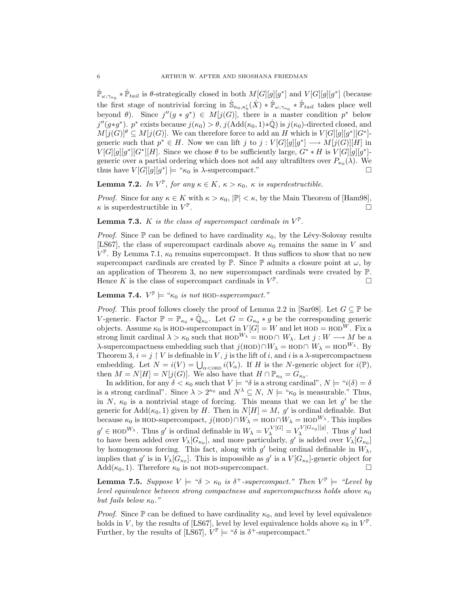$\dot{\mathbb{P}}_{\omega,\gamma_{\kappa_0}} * \dot{\mathbb{P}}_{tail}$  is  $\theta$ -strategically closed in both  $M[G][g][g^*]$  and  $V[G][g][g^*]$  (because the first stage of nontrivial forcing in  $\dot{\mathbb{S}}_{\kappa_0,\kappa'_0}(\dot{X}) * \dot{\mathbb{P}}_{\omega,\gamma_{\kappa_0}} * \dot{\mathbb{P}}_{tail}$  takes place well beyond  $\theta$ ). Since  $j''(g * g^*) \in M[j(G)]$ , there is a master condition  $p^*$  below  $j''(g*g^*)$ .  $p^*$  exists because  $j(\kappa_0) > \theta$ ,  $j(\text{Add}(\kappa_0, 1) * \dot{\mathbb{Q}})$  is  $j(\kappa_0)$ -directed closed, and  $M[j(G)]^{\theta} \subseteq M[j(G)]$ . We can therefore force to add an H which is  $V[G][g][g^*][G^*]$ generic such that  $p^* \in H$ . Now we can lift j to  $j: V[G][g][g^*] \longrightarrow M[j(G)][H]$  in  $V[G][g][g^*][G^*][H]$ . Since we chose  $\theta$  to be sufficiently large,  $G^* * H$  is  $V[G][g][g^*]$ generic over a partial ordering which does not add any ultrafilters over  $P_{\kappa_0}(\lambda)$ . We thus have  $V[G][g][g^*] \models " \kappa_0$  is  $\lambda$ -supercompact."

**Lemma 7.2.** In  $V^{\mathbb{P}}$ , for any  $\kappa \in K$ ,  $\kappa > \kappa_0$ ,  $\kappa$  is superdestructible.

*Proof.* Since for any  $\kappa \in K$  with  $\kappa > \kappa_0$ ,  $|\mathbb{P}| < \kappa$ , by the Main Theorem of [Ham98],  $\kappa$  is superdestructible in  $V^{\mathbb{P}}$ .  $\Box$ 

## **Lemma 7.3.** K is the class of supercompact cardinals in  $V^{\mathbb{P}}$ .

*Proof.* Since  $\mathbb P$  can be defined to have cardinality  $\kappa_0$ , by the Lévy-Solovay results [LS67], the class of supercompact cardinals above  $\kappa_0$  remains the same in V and  $V^{\mathbb{P}}$ . By Lemma 7.1,  $\kappa_0$  remains supercompact. It thus suffices to show that no new supercompact cardinals are created by  $\mathbb P$ . Since  $\mathbb P$  admits a closure point at  $\omega$ , by an application of Theorem 3, no new supercompact cardinals were created by P. Hence K is the class of supercompact cardinals in  $V^{\mathbb{P}}$ .  $\Box$ 

**Lemma 7.4.**  $V^{\mathbb{P}} \models \text{``}\kappa_0$  is not HOD-supercompact."

*Proof.* This proof follows closely the proof of Lemma 2.2 in [Sar08]. Let  $G \subseteq \mathbb{P}$  be V-generic. Factor  $\mathbb{P} = \mathbb{P}_{\kappa_0} * \dot{\mathbb{Q}}_{\kappa_0}$ . Let  $G = G_{\kappa_0} * g$  be the corresponding generic objects. Assume  $\kappa_0$  is HOD-supercompact in  $V[G] = W$  and let HOD = HOD<sup>W</sup>. Fix a strong limit cardinal  $\lambda > \kappa_0$  such that HOD<sup>W</sup> $\lambda =$  HOD∩ W<sub> $\lambda$ </sub>. Let  $j : W \longrightarrow M$  be a λ-supercompactness embedding such that  $j(HOD) ∩ W<sub>λ</sub> = HOD ∩ W<sub>λ</sub> = HOD<sup>W<sub>λ</sub></sup>$ . By Theorem 3,  $i = j \restriction V$  is definable in V, j is the lift of i, and i is a  $\lambda$ -supercompactness Theorem 3,  $i = j | V$  is definable in V, j is the filt of t, and t is a  $\lambda$ -supercompactness<br>embedding. Let  $N = i(V) = \bigcup_{\alpha < \text{ORD}} i(V_\alpha)$ . If H is the N-generic object for  $i(\mathbb{P})$ , then  $M = N[H] = N[j(G)]$ . We also have that  $H \cap \mathbb{P}_{\kappa_0} = G_{\kappa_0}$ .

In addition, for any  $\delta < \kappa_0$  such that  $V \models$  " $\delta$  is a strong cardinal",  $N \models$  " $i(\delta) = \delta$ is a strong cardinal". Since  $\lambda > 2^{\kappa_0}$  and  $N^{\lambda} \subseteq N$ ,  $N \models {\kappa_0}$  is measurable." Thus, in N,  $\kappa_0$  is a nontrivial stage of forcing. This means that we can let  $g'$  be the generic for  $Add(\kappa_0, 1)$  given by H. Then in  $N[H] = M$ , g' is ordinal definable. But because  $\kappa_0$  is HOD-supercompact,  $j(HOD) \cap W_\lambda = HOD \cap W_\lambda = HOD^{W_\lambda}$ . This implies  $g' \in \text{HOD}^{W_{\lambda}}$ . Thus  $g'$  is ordinal definable in  $W_{\lambda} = V_{\lambda}^{V[G]} = V_{\lambda}^{V[G_{\kappa_0}][g]}$  $\lambda^{\nu [\mathbf{G}_{\kappa_0}][g]}$ . Thus g' had to have been added over  $V_{\lambda}[G_{\kappa_0}]$ , and more particularly,  $g'$  is added over  $V_{\lambda}[G_{\kappa_0}]$ by homogeneous forcing. This fact, along with  $g'$  being ordinal definable in  $W_{\lambda}$ , implies that g' is in  $V_{\lambda}[G_{\kappa_0}]$ . This is impossible as g' is a  $V[G_{\kappa_0}]$ -generic object for Add( $\kappa_0$ , 1). Therefore  $\kappa_0$  is not HOD-supercompact.

**Lemma 7.5.** Suppose  $V \models " \delta > \kappa_0$  is  $\delta^+$ -supercompact." Then  $V^{\mathbb{P}} \models "Level by$ level equivalence between strong compactness and supercompactness holds above  $\kappa_0$ but fails below  $\kappa_0$ ."

*Proof.* Since  $\mathbb P$  can be defined to have cardinality  $\kappa_0$ , and level by level equivalence holds in V, by the results of [LS67], level by level equivalence holds above  $\kappa_0$  in  $V^{\mathbb{P}}$ . Further, by the results of [LS67],  $V^{\mathbb{P}} \models$  " $\delta$  is  $\delta^+$ -supercompact."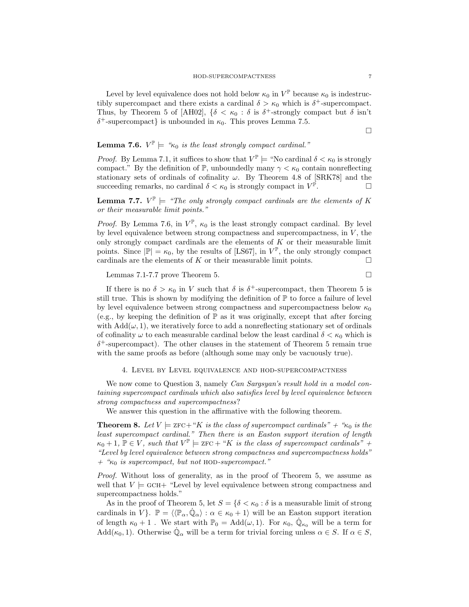Level by level equivalence does not hold below  $\kappa_0$  in  $V^{\mathbb{P}}$  because  $\kappa_0$  is indestructibly supercompact and there exists a cardinal  $\delta > \kappa_0$  which is  $\delta^+$ -supercompact. Thus, by Theorem 5 of [AH02],  $\{\delta \leq \kappa_0 : \delta \text{ is } \delta^+ \text{-strongly compact but } \delta \text{ isn't}$  $\delta^+$ -supercompact} is unbounded in  $\kappa_0$ . This proves Lemma 7.5.

¤

# **Lemma 7.6.**  $V^{\mathbb{P}} \models \text{``}\kappa_0$  is the least strongly compact cardinal."

*Proof.* By Lemma 7.1, it suffices to show that  $V^{\mathbb{P}} \models$  "No cardinal  $\delta < \kappa_0$  is strongly compact." By the definition of  $\mathbb{P}$ , unboundedly many  $\gamma < \kappa_0$  contain nonreflecting stationary sets of ordinals of cofinality  $\omega$ . By Theorem 4.8 of [SRK78] and the succeeding remarks, no cardinal  $\delta < \kappa_0$  is strongly compact in  $V^{\mathbb{P}}$ .  $\Box$ 

**Lemma 7.7.**  $V^{\mathbb{P}} \models$  "The only strongly compact cardinals are the elements of K or their measurable limit points."

*Proof.* By Lemma 7.6, in  $V^{\mathbb{P}}, \kappa_0$  is the least strongly compact cardinal. By level by level equivalence between strong compactness and supercompactness, in  $V$ , the only strongly compact cardinals are the elements of  $K$  or their measurable limit points. Since  $|\mathbb{P}| = \kappa_0$ , by the results of [LS67], in  $V^{\mathbb{P}}$ , the only strongly compact cardinals are the elements of K or their measurable limit points.  $\Box$ 

Lemmas 7.1-7.7 prove Theorem 5.  $\Box$ 

If there is no  $\delta > \kappa_0$  in V such that  $\delta$  is  $\delta^+$ -supercompact, then Theorem 5 is still true. This is shown by modifying the definition of  $\mathbb P$  to force a failure of level by level equivalence between strong compactness and supercompactness below  $\kappa_0$ (e.g., by keeping the definition of  $\mathbb P$  as it was originally, except that after forcing with  $Add(\omega, 1)$ , we iteratively force to add a nonreflecting stationary set of ordinals of cofinality  $\omega$  to each measurable cardinal below the least cardinal  $\delta < \kappa_0$  which is  $\delta^+$ -supercompact). The other clauses in the statement of Theorem 5 remain true with the same proofs as before (although some may only be vacuously true).

#### 4. Level by Level equivalence and hod-supercompactness

We now come to Question 3, namely Can Sargsyan's result hold in a model containing supercompact cardinals which also satisfies level by level equivalence between strong compactness and supercompactness?

We answer this question in the affirmative with the following theorem.

**Theorem 8.** Let  $V \models$  zFC+ "K is the class of supercompact cardinals" + " $\kappa_0$  is the least supercompact cardinal." Then there is an Easton support iteration of length  $\kappa_0 + 1$ ,  $\mathbb{P} \in V$ , such that  $V^{\mathbb{P}} \models$  ZFC + "K is the class of supercompact cardinals" + "Level by level equivalence between strong compactness and supercompactness holds"  $+$  " $\kappa_0$  is supercompact, but not HOD-supercompact."

Proof. Without loss of generality, as in the proof of Theorem 5, we assume as well that  $V \models$  GCH+ "Level by level equivalence between strong compactness and supercompactness holds."

As in the proof of Theorem 5, let  $S = \{ \delta < \kappa_0 : \delta \text{ is a measurable limit of strong } \}$ cardinals in V $\}$ .  $\mathbb{P} = \langle \langle \mathbb{P}_{\alpha}, \dot{\mathbb{Q}}_{\alpha} \rangle : \alpha \in \kappa_0 + 1 \rangle$  will be an Easton support iteration of length  $\kappa_0 + 1$ . We start with  $\mathbb{P}_0 = \text{Add}(\omega, 1)$ . For  $\kappa_0$ ,  $\dot{\mathbb{Q}}_{\kappa_0}$  will be a term for  $\text{Add}(\kappa_0, 1)$ . Otherwise  $\dot{\mathbb{Q}}_{\alpha}$  will be a term for trivial forcing unless  $\alpha \in S$ . If  $\alpha \in S$ ,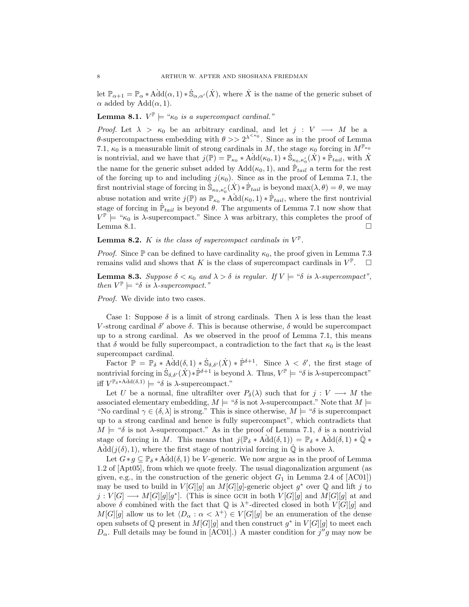let  $\mathbb{P}_{\alpha+1} = \mathbb{P}_{\alpha} * \text{Add}(\alpha, 1) * \dot{\mathbb{S}}_{\alpha, \alpha'}(\dot{X}),$  where  $\dot{X}$  is the name of the generic subset of  $\alpha$  added by  $Add(\alpha, 1)$ .

**Lemma 8.1.**  $V^{\mathbb{P}} \models \text{``}\kappa_0$  is a supercompact cardinal."

*Proof.* Let  $\lambda > \kappa_0$  be an arbitrary cardinal, and let  $j : V \longrightarrow M$  be a θ-supercompactness embedding with  $\theta >> 2^{\lambda^{<\kappa_0}}$ . Since as in the proof of Lemma 7.1,  $\kappa_0$  is a measurable limit of strong cardinals in M, the stage  $\kappa_0$  forcing in  $M^{\mathbb{P}_{\kappa_0}}$ is nontrivial, and we have that  $j(\mathbb{P}) = \mathbb{P}_{\kappa_0} * \text{Add}(\kappa_0, 1) * \dot{\mathbb{S}}_{\kappa_0, \kappa'_0}(X) * \dot{\mathbb{P}}_{tail}$ , with X the name for the generic subset added by  $\text{Add}(\kappa_0, 1)$ , and  $\dot{\mathbb{P}}_{tail}$  a term for the rest of the forcing up to and including  $j(\kappa_0)$ . Since as in the proof of Lemma 7.1, the first nontrivial stage of forcing in  $\mathcal{S}_{\kappa_0,\kappa_0'}(\dot{X}) * \dot{\mathbb{P}}_{tail}$  is beyond  $\max(\lambda, \theta) = \theta$ , we may abuse notation and write  $j(\mathbb{P})$  as  $\mathbb{P}_{\kappa_0} * \text{Add}(\kappa_0, 1) * \dot{\mathbb{P}}_{tail}$ , where the first nontrivial stage of forcing in  $\mathbb{P}_{tail}$  is beyond  $\theta$ . The arguments of Lemma 7.1 now show that  $V^{\mathbb{P}} \models \text{``}\kappa_0$  is  $\lambda$ -supercompact." Since  $\lambda$  was arbitrary, this completes the proof of Lemma 8.1.  $\Box$ 

**Lemma 8.2.** K is the class of supercompact cardinals in  $V^{\mathbb{P}}$ .

*Proof.* Since P can be defined to have cardinality  $\kappa_0$ , the proof given in Lemma 7.3 remains valid and shows that K is the class of supercompact cardinals in  $V^{\mathbb{P}}$  $\Box$ 

**Lemma 8.3.** Suppose  $\delta < \kappa_0$  and  $\lambda > \delta$  is regular. If  $V \models ``\delta$  is  $\lambda$ -supercompact", then  $V^{\mathbb{P}} \models \text{``}\delta \text{ is } \lambda\text{-supercompact."}$ 

Proof. We divide into two cases.

Case 1: Suppose  $\delta$  is a limit of strong cardinals. Then  $\lambda$  is less than the least V-strong cardinal  $\delta'$  above  $\delta$ . This is because otherwise,  $\delta$  would be supercompact up to a strong cardinal. As we observed in the proof of Lemma 7.1, this means that  $\delta$  would be fully supercompact, a contradiction to the fact that  $\kappa_0$  is the least supercompact cardinal.

Factor  $\mathbb{P} = \mathbb{P}_{\delta} * \text{Add}(\delta, 1) * \dot{\mathbb{S}}_{\delta, \delta'}(\dot{X}) * \dot{\mathbb{P}}^{\delta+1}$ . Since  $\lambda < \delta'$ , the first stage of nontrivial forcing in  $\dot{\mathbb{S}}_{\delta,\delta'}(\dot{X}) \ast \dot{\mathbb{P}}^{\delta+1}$  is beyond  $\lambda$ . Thus,  $V^{\mathbb{P}} \models ``\delta$  is  $\lambda$ -supercompact" iff  $V^{\mathbb{P}_{\delta} \ast \text{Add}(\delta,1)} \models \text{``$\delta$ is $\lambda$-supercompact."}$ 

Let U be a normal, fine ultrafilter over  $P_{\delta}(\lambda)$  such that for  $j: V \longrightarrow M$  the associated elementary embedding,  $M \models ``\delta$  is not  $\lambda$ -supercompact." Note that  $M \models$ "No cardinal  $\gamma \in (\delta, \lambda]$  is strong." This is since otherwise,  $M \models$  " $\delta$  is supercompact" up to a strong cardinal and hence is fully supercompact", which contradicts that  $M \models ``\delta$  is not  $\lambda$ -supercompact." As in the proof of Lemma 7.1,  $\delta$  is a nontrivial stage of forcing in M. This means that  $j(\mathbb{P}_{\delta} * \text{Add}(\delta, 1)) = \mathbb{P}_{\delta} * \text{Add}(\delta, 1) * \mathbb{Q} *$  $\text{Add}(j(\delta), 1)$ , where the first stage of nontrivial forcing in  $\mathbb Q$  is above  $\lambda$ .

Let  $G * g \subseteq \mathbb{P}_{\delta} * \text{Add}(\delta, 1)$  be V-generic. We now argue as in the proof of Lemma 1.2 of [Apt05], from which we quote freely. The usual diagonalization argument (as given, e.g., in the construction of the generic object  $G_1$  in Lemma 2.4 of [AC01]) may be used to build in  $V[G][g]$  an  $M[G][g]$ -generic object  $g^*$  over Q and lift j to  $j: V[G] \longrightarrow M[G][g][g^*]$ . (This is since GCH in both  $V[G][g]$  and  $M[G][g]$  at and above  $\delta$  combined with the fact that  $\mathbb{Q}$  is  $\lambda^+$ -directed closed in both  $V[G][g]$  and  $M[G][g]$  allow us to let  $\langle D_{\alpha} : \alpha < \lambda^+ \rangle \in V[G][g]$  be an enumeration of the dense open subsets of Q present in  $M[G][g]$  and then construct  $g^*$  in  $V[G][g]$  to meet each  $D_{\alpha}$ . Full details may be found in [AC01].) A master condition for  $j''g$  may now be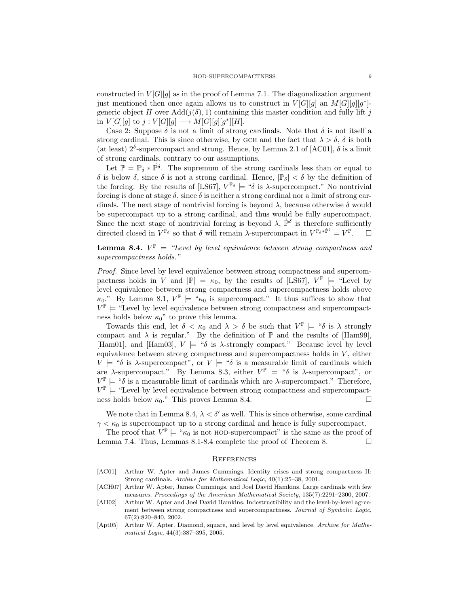constructed in  $V[G][g]$  as in the proof of Lemma 7.1. The diagonalization argument just mentioned then once again allows us to construct in  $V[G][g]$  an  $M[G][g][g^*]$ generic object H over  $Add(j(\delta), 1)$  containing this master condition and fully lift j in  $V[G][g]$  to  $j: V[G][g] \longrightarrow M[G][g][g^*][H].$ 

Case 2: Suppose  $\delta$  is not a limit of strong cardinals. Note that  $\delta$  is not itself a strong cardinal. This is since otherwise, by GCH and the fact that  $\lambda > \delta$ ,  $\delta$  is both (at least)  $2^{\delta}$ -supercompact and strong. Hence, by Lemma 2.1 of [AC01],  $\delta$  is a limit of strong cardinals, contrary to our assumptions.

Let  $\mathbb{P} = \mathbb{P}_{\delta} * \dot{\mathbb{P}}^{\delta}$ . The supremum of the strong cardinals less than or equal to δ is below δ, since δ is not a strong cardinal. Hence,  $|\mathbb{P}_{\delta}| < \delta$  by the definition of the forcing. By the results of [LS67],  $V^{\mathbb{P}_{\delta}} \models \mathscr{C}_{\delta}$  is  $\lambda$ -supercompact." No nontrivial forcing is done at stage  $\delta$ , since  $\delta$  is neither a strong cardinal nor a limit of strong cardinals. The next stage of nontrivial forcing is beyond  $\lambda$ , because otherwise  $\delta$  would be supercompact up to a strong cardinal, and thus would be fully supercompact. Since the next stage of nontrivial forcing is beyond  $\lambda$ ,  $\dot{\mathbb{P}}^{\delta}$  is therefore sufficiently directed closed in  $V^{\mathbb{P}_{\delta}}$  so that  $\delta$  will remain  $\lambda$ -supercompact in  $V^{\mathbb{P}_{\delta}*\dot{\mathbb{P}}^{\delta}}=V^{\mathbb{P}}$  $\Box$ 

## **Lemma 8.4.**  $V^{\mathbb{P}} \models$  "Level by level equivalence between strong compactness and supercompactness holds."

Proof. Since level by level equivalence between strong compactness and supercompactness holds in V and  $|\mathbb{P}| = \kappa_0$ , by the results of [LS67],  $V^{\mathbb{P}}$   $\models$  "Level by level equivalence between strong compactness and supercompactness holds above  $\kappa_0$ ." By Lemma 8.1,  $V^{\mathbb{P}} \models {\mathfrak{a}}_{k_0}$  is supercompact." It thus suffices to show that  $V^{\mathbb{P}} \models$  "Level by level equivalence between strong compactness and supercompactness holds below  $\kappa_0$ " to prove this lemma.

Towards this end, let  $\delta < \kappa_0$  and  $\lambda > \delta$  be such that  $V^{\mathbb{P}} \models ``\delta$  is  $\lambda$  strongly compact and  $\lambda$  is regular." By the definition of  $\mathbb P$  and the results of [Ham99], [Ham01], and [Ham03],  $V \models ``\delta$  is  $\lambda$ -strongly compact." Because level by level equivalence between strong compactness and supercompactness holds in  $V$ , either  $V \models$  " $\delta$  is  $\lambda$ -supercompact", or  $V \models$  " $\delta$  is a measurable limit of cardinals which are  $\lambda$ -supercompact." By Lemma 8.3, either  $V^{\mathbb{P}} \models$  " $\delta$  is  $\lambda$ -supercompact", or  $V^{\mathbb{P}} \models$  " $\delta$  is a measurable limit of cardinals which are  $\lambda$ -supercompact." Therefore,  $V^{\mathbb{P}} \models$  "Level by level equivalence between strong compactness and supercompactness holds below  $\kappa_0$ ." This proves Lemma 8.4.  $\Box$ 

We note that in Lemma 8.4,  $\lambda < \delta'$  as well. This is since otherwise, some cardinal  $\gamma < \kappa_0$  is supercompact up to a strong cardinal and hence is fully supercompact.

The proof that  $V^{\mathbb{P}} \models \text{``}\kappa_0$  is not HOD-supercompact" is the same as the proof of Lemma 7.4. Thus, Lemmas 8.1-8.4 complete the proof of Theorem 8.

#### **REFERENCES**

- [AC01] Arthur W. Apter and James Cummings. Identity crises and strong compactness II: Strong cardinals. Archive for Mathematical Logic, 40(1):25–38, 2001.
- [ACH07] Arthur W. Apter, James Cummings, and Joel David Hamkins. Large cardinals with few measures. Proceedings of the American Mathematical Society, 135(7):2291–2300, 2007.
- [AH02] Arthur W. Apter and Joel David Hamkins. Indestructibility and the level-by-level agreement between strong compactness and supercompactness. Journal of Symbolic Logic, 67(2):820–840, 2002.
- [Apt05] Arthur W. Apter. Diamond, square, and level by level equivalence. Archive for Mathematical Logic, 44(3):387–395, 2005.